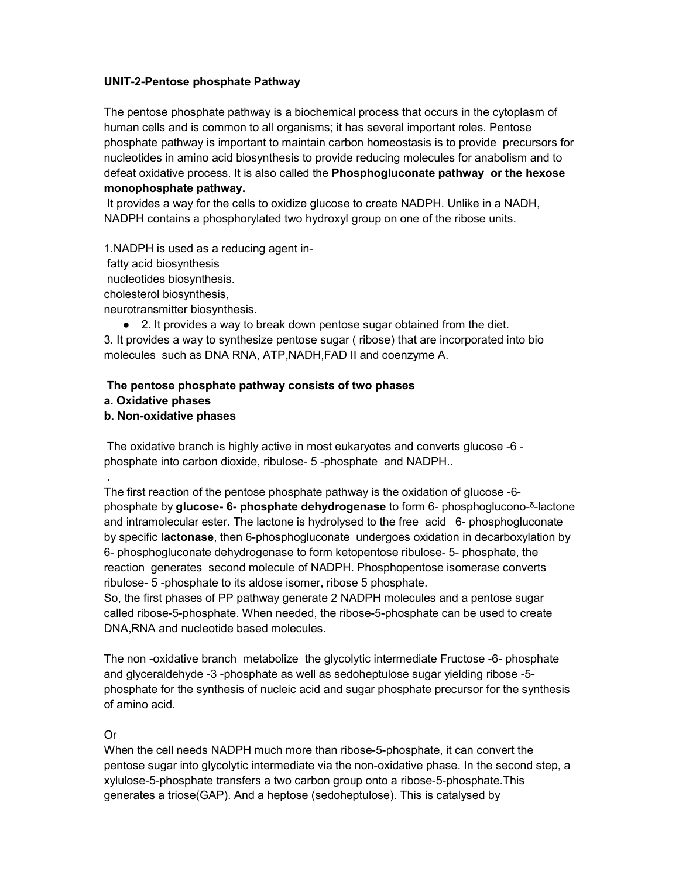## **UNIT-2-Pentose phosphate Pathway**

The pentose phosphate pathway is a biochemical process that occurs in the cytoplasm of human cells and is common to all organisms; it has several important roles. Pentose phosphate pathway is important to maintain carbon homeostasis is to provide precursors for nucleotides in amino acid biosynthesis to provide reducing molecules for anabolism and to defeat oxidative process. It is also called the **Phosphogluconate pathway or the hexose monophosphate pathway.**

It provides a way for the cells to oxidize glucose to create NADPH. Unlike in a NADH, NADPH contains a phosphorylated two hydroxyl group on one of the ribose units.

1.NADPH is used as a reducing agent in-

fatty acid biosynthesis

nucleotides biosynthesis.

cholesterol biosynthesis,

neurotransmitter biosynthesis.

● 2. It provides a way to break down pentose sugar obtained from the diet.

3. It provides a way to synthesize pentose sugar ( ribose) that are incorporated into bio molecules such as DNA RNA, ATP,NADH,FAD II and coenzyme A.

## **The pentose phosphate pathway consists of two phases**

**a. Oxidative phases** 

## **b. Non-oxidative phases**

The oxidative branch is highly active in most eukaryotes and converts glucose -6 phosphate into carbon dioxide, ribulose- 5 -phosphate and NADPH..

. The first reaction of the pentose phosphate pathway is the oxidation of glucose -6 phosphate by **glucose-6-** phosphate dehydrogenase to form 6- phosphoglucono-<sup>5</sup>-lactone and intramolecular ester. The lactone is hydrolysed to the free acid 6- phosphogluconate by specific **lactonase**, then 6-phosphogluconate undergoes oxidation in decarboxylation by 6- phosphogluconate dehydrogenase to form ketopentose ribulose- 5- phosphate, the reaction generates second molecule of NADPH. Phosphopentose isomerase converts ribulose- 5 -phosphate to its aldose isomer, ribose 5 phosphate.

So, the first phases of PP pathway generate 2 NADPH molecules and a pentose sugar called ribose-5-phosphate. When needed, the ribose-5-phosphate can be used to create DNA,RNA and nucleotide based molecules.

The non -oxidative branch metabolize the glycolytic intermediate Fructose -6- phosphate and glyceraldehyde -3 -phosphate as well as sedoheptulose sugar yielding ribose -5 phosphate for the synthesis of nucleic acid and sugar phosphate precursor for the synthesis of amino acid.

## Or

When the cell needs NADPH much more than ribose-5-phosphate, it can convert the pentose sugar into glycolytic intermediate via the non-oxidative phase. In the second step, a xylulose-5-phosphate transfers a two carbon group onto a ribose-5-phosphate.This generates a triose(GAP). And a heptose (sedoheptulose). This is catalysed by